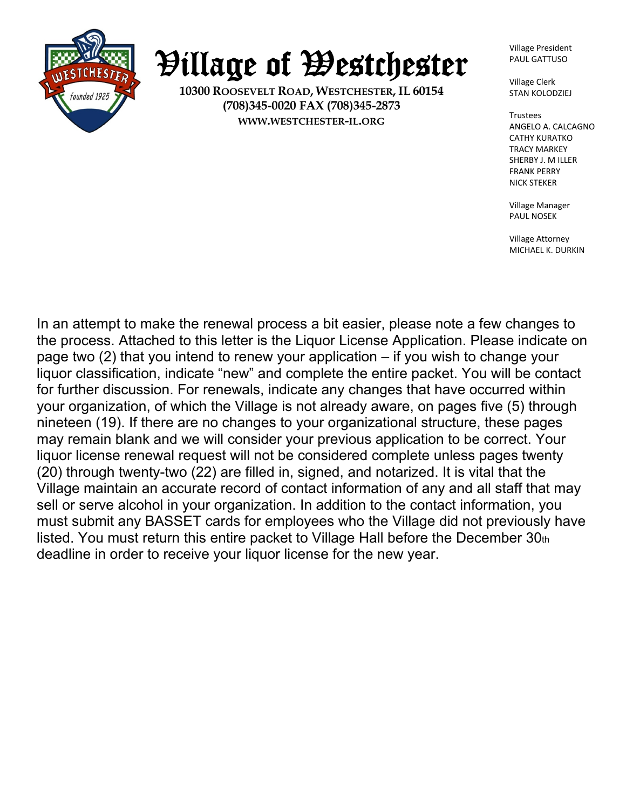

Village of Westchester

**10300 ROOSEVELT ROAD, WESTCHESTER, IL 60154 (708)345-0020 FAX (708)345-2873 WWW.WESTCHESTER-IL.ORG**

Village President PAUL GATTUSO

Village Clerk STAN KOLODZIEJ

Trustees ANGELO A. CALCAGNO CATHY KURATKO TRACY MARKEY SHERBY J. M ILLER FRANK PERRY NICK STEKER

Village Manager PAUL NOSEK

Village Attorney MICHAEL K. DURKIN

In an attempt to make the renewal process a bit easier, please note a few changes to the process. Attached to this letter is the Liquor License Application. Please indicate on page two (2) that you intend to renew your application – if you wish to change your liquor classification, indicate "new" and complete the entire packet. You will be contact for further discussion. For renewals, indicate any changes that have occurred within your organization, of which the Village is not already aware, on pages five (5) through nineteen (19). If there are no changes to your organizational structure, these pages may remain blank and we will consider your previous application to be correct. Your liquor license renewal request will not be considered complete unless pages twenty (20) through twenty-two (22) are filled in, signed, and notarized. It is vital that the Village maintain an accurate record of contact information of any and all staff that may sell or serve alcohol in your organization. In addition to the contact information, you must submit any BASSET cards for employees who the Village did not previously have listed. You must return this entire packet to Village Hall before the December 30th deadline in order to receive your liquor license for the new year.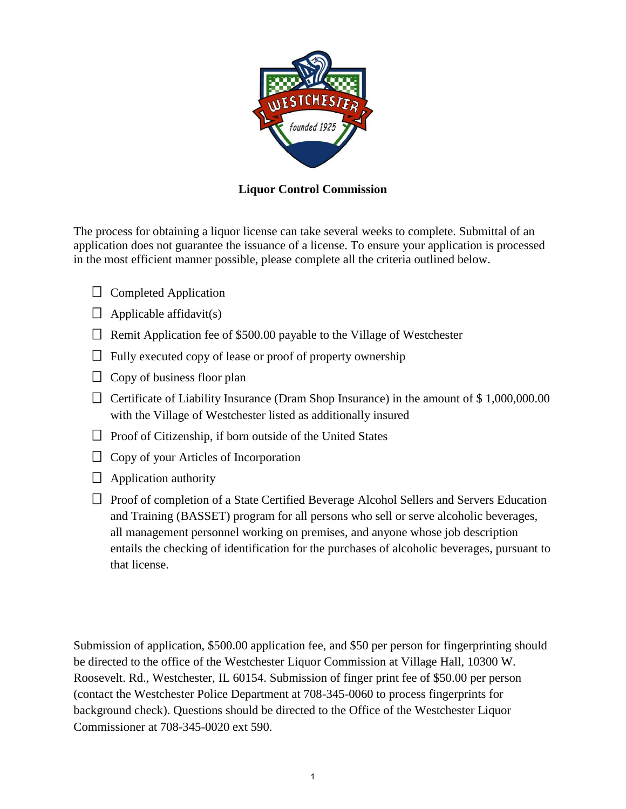

### **Liquor Control Commission**

The process for obtaining a liquor license can take several weeks to complete. Submittal of an application does not guarantee the issuance of a license. To ensure your application is processed in the most efficient manner possible, please complete all the criteria outlined below.

- $\Box$  Completed Application
- $\Box$  Applicable affidavit(s)
- $\Box$  Remit Application fee of \$500.00 payable to the Village of Westchester
- $\Box$  Fully executed copy of lease or proof of property ownership
- $\Box$  Copy of business floor plan
- $\Box$  Certificate of Liability Insurance (Dram Shop Insurance) in the amount of \$1,000,000.00 with the Village of Westchester listed as additionally insured
- $\Box$  Proof of Citizenship, if born outside of the United States
- $\Box$  Copy of your Articles of Incorporation
- $\Box$  Application authority
- $\Box$  Proof of completion of a State Certified Beverage Alcohol Sellers and Servers Education and Training (BASSET) program for all persons who sell or serve alcoholic beverages, all management personnel working on premises, and anyone whose job description entails the checking of identification for the purchases of alcoholic beverages, pursuant to that license.

Submission of application, \$500.00 application fee, and \$50 per person for fingerprinting should be directed to the office of the Westchester Liquor Commission at Village Hall, 10300 W. Roosevelt. Rd., Westchester, IL 60154. Submission of finger print fee of \$50.00 per person (contact the Westchester Police Department at 708-345-0060 to process fingerprints for background check). Questions should be directed to the Office of the Westchester Liquor Commissioner at 708-345-0020 ext 590.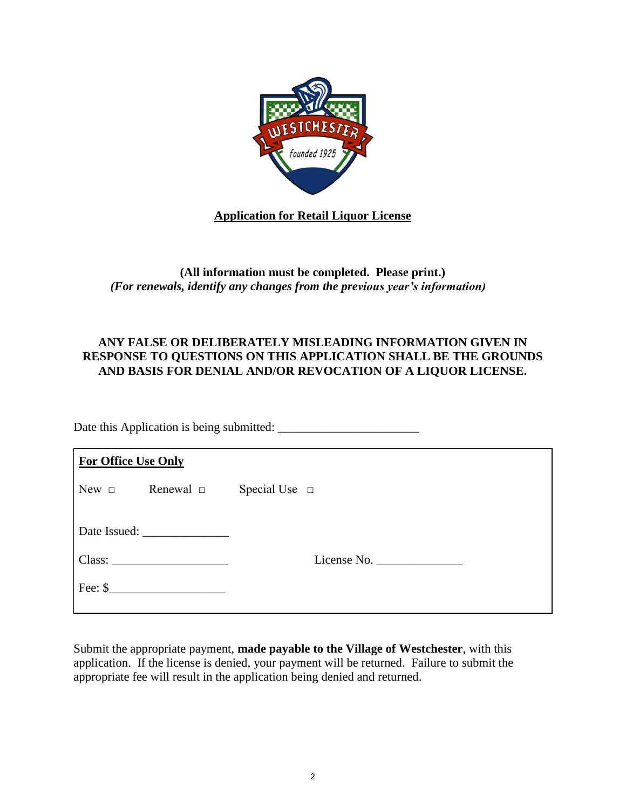

## **Application for Retail Liquor License**

## **(All information must be completed. Please print.)**  *(For renewals, identify any changes from the previous year's information)*

#### **ANY FALSE OR DELIBERATELY MISLEADING INFORMATION GIVEN IN RESPONSE TO QUESTIONS ON THIS APPLICATION SHALL BE THE GROUNDS AND BASIS FOR DENIAL AND/OR REVOCATION OF A LIQUOR LICENSE.**

Date this Application is being submitted: \_\_\_\_\_\_\_\_\_\_\_\_\_\_\_\_\_\_\_\_\_\_\_

| <b>For Office Use Only</b> |                    |                                                                                                                          |  |
|----------------------------|--------------------|--------------------------------------------------------------------------------------------------------------------------|--|
| $New \Box$                 | Renewal $\Box$     | Special Use $\Box$                                                                                                       |  |
|                            |                    |                                                                                                                          |  |
|                            | Class:             | License No. $\frac{1}{\sqrt{1-\frac{1}{2}}\cdot\sqrt{1-\frac{1}{2}}\cdot\sqrt{1-\frac{1}{2}}\cdot\sqrt{1-\frac{1}{2}}}}$ |  |
|                            | Fee: $\frac{1}{2}$ |                                                                                                                          |  |

Submit the appropriate payment, **made payable to the Village of Westchester**, with this application. If the license is denied, your payment will be returned. Failure to submit the appropriate fee will result in the application being denied and returned.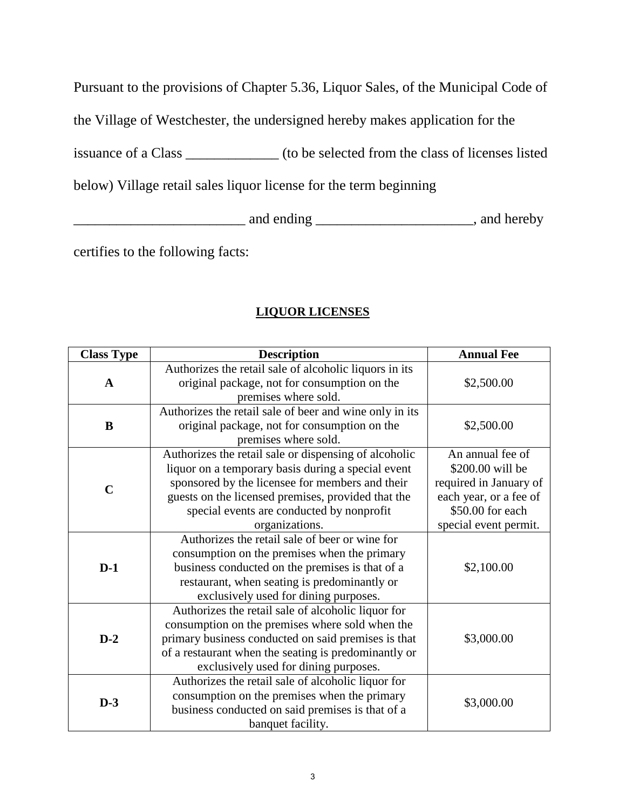Pursuant to the provisions of Chapter 5.36, Liquor Sales, of the Municipal Code of

the Village of Westchester, the undersigned hereby makes application for the

issuance of a Class \_\_\_\_\_\_\_\_\_\_\_\_\_ (to be selected from the class of licenses listed

below) Village retail sales liquor license for the term beginning

<u>\_\_\_\_\_\_\_\_\_\_\_\_\_\_\_\_\_\_\_\_\_\_\_\_\_\_</u> and ending \_\_\_\_\_\_\_\_\_\_\_\_\_\_\_\_\_\_\_\_\_\_\_\_\_\_\_\_\_\_\_, and hereby

certifies to the following facts:

# **LIQUOR LICENSES**

| <b>Class Type</b> | <b>Description</b>                                                                                                                                                                                                                                                                  | <b>Annual Fee</b>                                                                                                                     |
|-------------------|-------------------------------------------------------------------------------------------------------------------------------------------------------------------------------------------------------------------------------------------------------------------------------------|---------------------------------------------------------------------------------------------------------------------------------------|
| $\mathbf{A}$      | Authorizes the retail sale of alcoholic liquors in its<br>original package, not for consumption on the<br>premises where sold.                                                                                                                                                      | \$2,500.00                                                                                                                            |
| $\bf{B}$          | Authorizes the retail sale of beer and wine only in its<br>original package, not for consumption on the<br>premises where sold.                                                                                                                                                     | \$2,500.00                                                                                                                            |
| $\mathbf C$       | Authorizes the retail sale or dispensing of alcoholic<br>liquor on a temporary basis during a special event<br>sponsored by the licensee for members and their<br>guests on the licensed premises, provided that the<br>special events are conducted by nonprofit<br>organizations. | An annual fee of<br>\$200.00 will be<br>required in January of<br>each year, or a fee of<br>\$50.00 for each<br>special event permit. |
| $D-1$             | Authorizes the retail sale of beer or wine for<br>consumption on the premises when the primary<br>business conducted on the premises is that of a<br>restaurant, when seating is predominantly or<br>exclusively used for dining purposes.                                          | \$2,100.00                                                                                                                            |
| $D-2$             | Authorizes the retail sale of alcoholic liquor for<br>consumption on the premises where sold when the<br>primary business conducted on said premises is that<br>of a restaurant when the seating is predominantly or<br>exclusively used for dining purposes.                       | \$3,000.00                                                                                                                            |
| $D-3$             | Authorizes the retail sale of alcoholic liquor for<br>consumption on the premises when the primary<br>business conducted on said premises is that of a<br>banquet facility.                                                                                                         | \$3,000.00                                                                                                                            |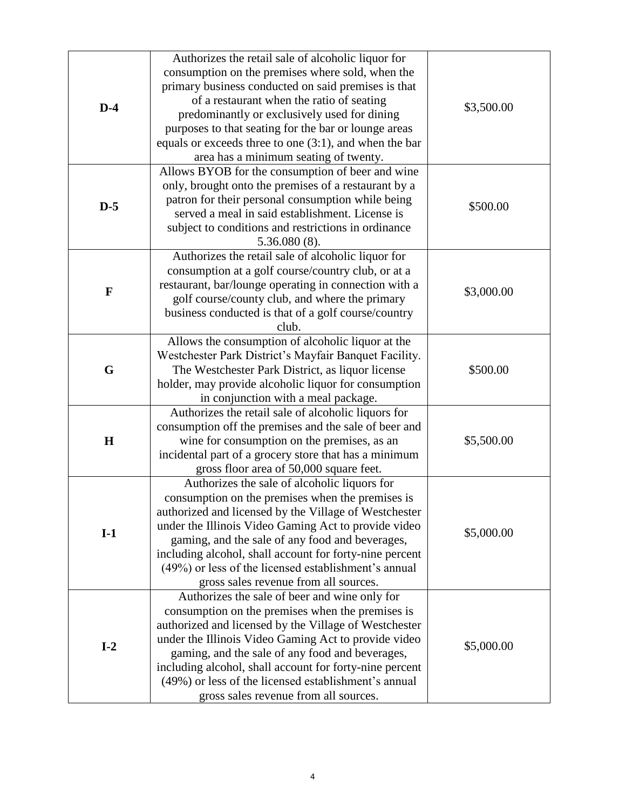|              | Authorizes the retail sale of alcoholic liquor for                                                   |            |
|--------------|------------------------------------------------------------------------------------------------------|------------|
|              | consumption on the premises where sold, when the                                                     |            |
|              | primary business conducted on said premises is that                                                  |            |
| $D-4$        | of a restaurant when the ratio of seating                                                            | \$3,500.00 |
|              | predominantly or exclusively used for dining                                                         |            |
|              | purposes to that seating for the bar or lounge areas                                                 |            |
|              | equals or exceeds three to one $(3:1)$ , and when the bar                                            |            |
|              | area has a minimum seating of twenty.                                                                |            |
|              | Allows BYOB for the consumption of beer and wine                                                     |            |
|              | only, brought onto the premises of a restaurant by a                                                 |            |
| $D-5$        | patron for their personal consumption while being                                                    | \$500.00   |
|              | served a meal in said establishment. License is                                                      |            |
|              | subject to conditions and restrictions in ordinance                                                  |            |
|              | $5.36.080(8)$ .                                                                                      |            |
|              | Authorizes the retail sale of alcoholic liquor for                                                   |            |
|              | consumption at a golf course/country club, or at a                                                   |            |
| $\mathbf{F}$ | restaurant, bar/lounge operating in connection with a                                                | \$3,000.00 |
|              | golf course/county club, and where the primary                                                       |            |
|              | business conducted is that of a golf course/country<br>club.                                         |            |
|              | Allows the consumption of alcoholic liquor at the                                                    |            |
|              | Westchester Park District's Mayfair Banquet Facility.                                                |            |
| G            |                                                                                                      | \$500.00   |
|              | The Westchester Park District, as liquor license                                                     |            |
|              | holder, may provide alcoholic liquor for consumption                                                 |            |
|              | in conjunction with a meal package.                                                                  |            |
|              | Authorizes the retail sale of alcoholic liquors for                                                  |            |
| $\mathbf H$  | consumption off the premises and the sale of beer and<br>wine for consumption on the premises, as an | \$5,500.00 |
|              | incidental part of a grocery store that has a minimum                                                |            |
|              | gross floor area of 50,000 square feet.                                                              |            |
|              | Authorizes the sale of alcoholic liquors for                                                         |            |
|              | consumption on the premises when the premises is                                                     |            |
|              | authorized and licensed by the Village of Westchester                                                |            |
|              | under the Illinois Video Gaming Act to provide video                                                 |            |
| $I-1$        | gaming, and the sale of any food and beverages,                                                      | \$5,000.00 |
|              | including alcohol, shall account for forty-nine percent                                              |            |
|              | (49%) or less of the licensed establishment's annual                                                 |            |
|              | gross sales revenue from all sources.                                                                |            |
|              | Authorizes the sale of beer and wine only for                                                        |            |
|              | consumption on the premises when the premises is                                                     |            |
|              | authorized and licensed by the Village of Westchester                                                |            |
|              | under the Illinois Video Gaming Act to provide video                                                 |            |
| $I-2$        | gaming, and the sale of any food and beverages,                                                      | \$5,000.00 |
|              | including alcohol, shall account for forty-nine percent                                              |            |
|              | (49%) or less of the licensed establishment's annual                                                 |            |
|              | gross sales revenue from all sources.                                                                |            |
|              |                                                                                                      |            |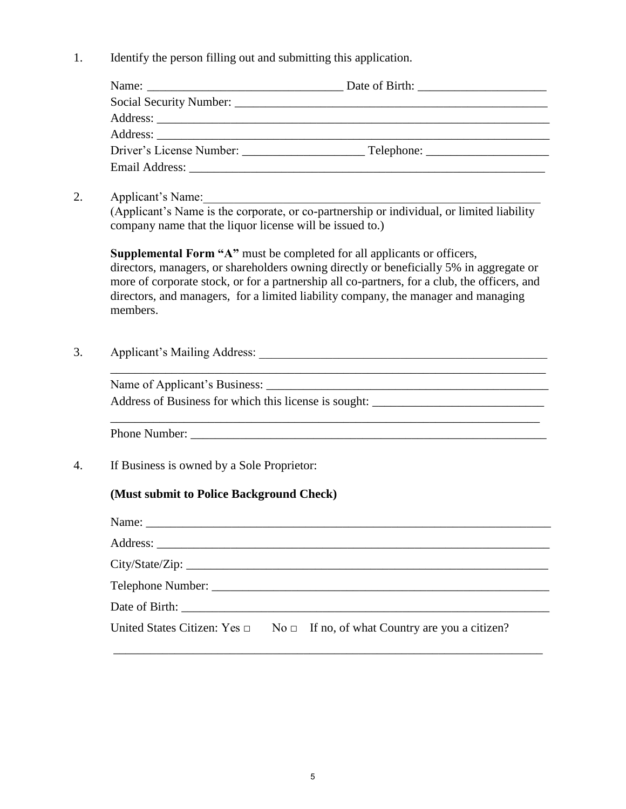1. Identify the person filling out and submitting this application.

| Email Address: The Contract of the Contract of the Contract of the Contract of the Contract of the Contract of the Contract of the Contract of the Contract of the Contract of the Contract of the Contract of the Contract of |  |
|--------------------------------------------------------------------------------------------------------------------------------------------------------------------------------------------------------------------------------|--|

2. Applicant's Name:

(Applicant's Name is the corporate, or co-partnership or individual, or limited liability company name that the liquor license will be issued to.)

**Supplemental Form "A"** must be completed for all applicants or officers, directors, managers, or shareholders owning directly or beneficially 5% in aggregate or more of corporate stock, or for a partnership all co-partners, for a club, the officers, and directors, and managers, for a limited liability company, the manager and managing members.

\_\_\_\_\_\_\_\_\_\_\_\_\_\_\_\_\_\_\_\_\_\_\_\_\_\_\_\_\_\_\_\_\_\_\_\_\_\_\_\_\_\_\_\_\_\_\_\_\_\_\_\_\_\_\_\_\_\_\_\_\_\_\_\_\_\_\_\_\_\_

3. Applicant's Mailing Address: \_\_\_\_\_\_\_\_\_\_\_\_\_\_\_\_\_\_\_\_\_\_\_\_\_\_\_\_\_\_\_\_\_\_\_\_\_\_\_\_\_\_\_\_\_\_\_

Name of Applicant's Business: \_\_\_\_\_\_\_\_\_\_\_\_\_\_\_\_\_\_\_\_\_\_\_\_\_\_\_\_\_\_\_\_\_\_\_\_\_\_\_\_\_\_\_\_\_\_

Address of Business for which this license is sought: \_\_\_\_\_\_\_\_\_\_\_\_\_\_\_\_\_\_\_\_\_\_\_\_\_\_\_\_

Phone Number:

4. If Business is owned by a Sole Proprietor:

#### **(Must submit to Police Background Check)**

| Name: $\frac{1}{2}$ |                                                                                       |
|---------------------|---------------------------------------------------------------------------------------|
|                     |                                                                                       |
|                     |                                                                                       |
|                     |                                                                                       |
|                     |                                                                                       |
|                     | United States Citizen: Yes $\Box$ No $\Box$ If no, of what Country are you a citizen? |

\_\_\_\_\_\_\_\_\_\_\_\_\_\_\_\_\_\_\_\_\_\_\_\_\_\_\_\_\_\_\_\_\_\_\_\_\_\_\_\_\_\_\_\_\_\_\_\_\_\_\_\_\_\_\_\_\_\_\_\_\_\_\_\_\_\_\_\_\_\_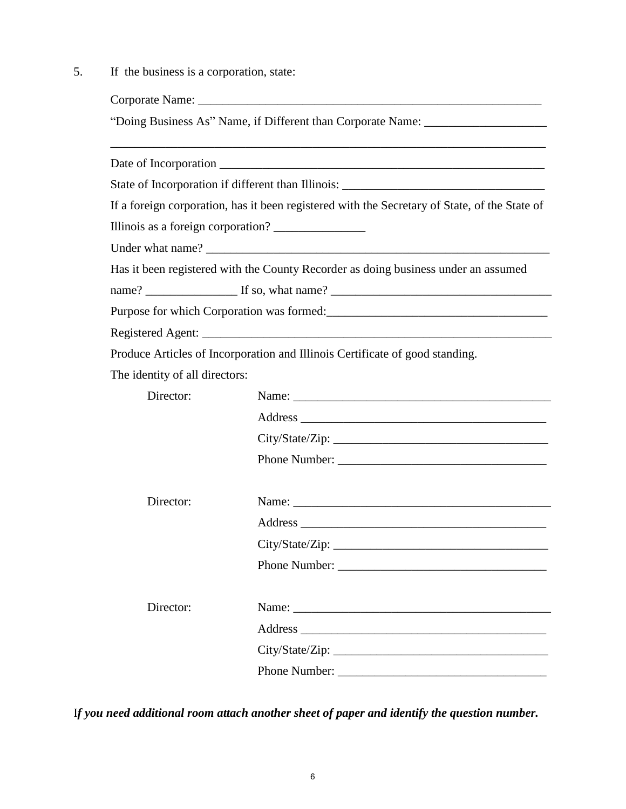5. If the business is a corporation, state:

|                                | "Doing Business As" Name, if Different than Corporate Name: _____________________             |
|--------------------------------|-----------------------------------------------------------------------------------------------|
|                                |                                                                                               |
|                                |                                                                                               |
|                                | State of Incorporation if different than Illinois: ______________________________             |
|                                | If a foreign corporation, has it been registered with the Secretary of State, of the State of |
|                                |                                                                                               |
|                                |                                                                                               |
|                                | Has it been registered with the County Recorder as doing business under an assumed            |
|                                |                                                                                               |
|                                | Purpose for which Corporation was formed:                                                     |
|                                |                                                                                               |
|                                | Produce Articles of Incorporation and Illinois Certificate of good standing.                  |
| The identity of all directors: |                                                                                               |
| Director:                      |                                                                                               |
|                                |                                                                                               |
|                                |                                                                                               |
|                                | Phone Number:                                                                                 |
| Director:                      |                                                                                               |
|                                |                                                                                               |
|                                |                                                                                               |
|                                |                                                                                               |
| Director:                      | Name:                                                                                         |
|                                |                                                                                               |
|                                |                                                                                               |
|                                |                                                                                               |

I*f you need additional room attach another sheet of paper and identify the question number.*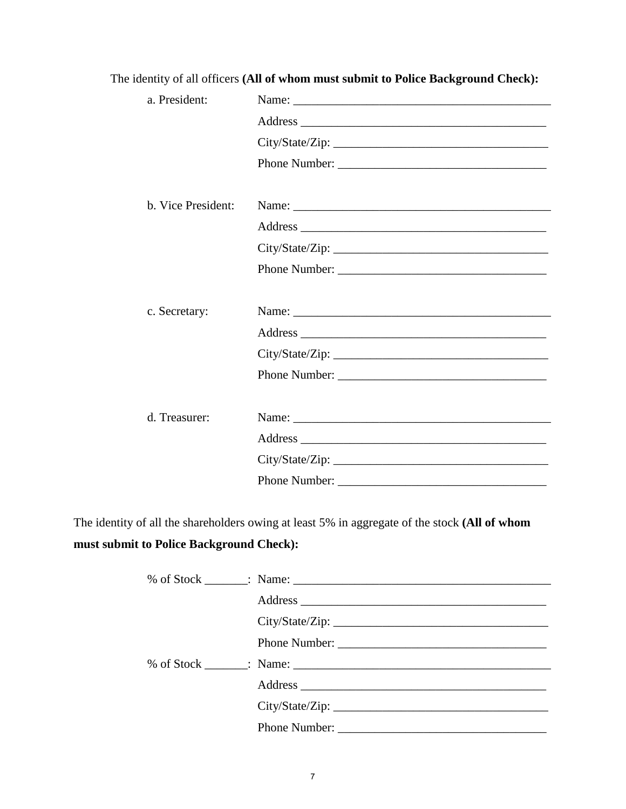| a. President:      | Name:           |
|--------------------|-----------------|
|                    |                 |
|                    | City/State/Zip: |
|                    | Phone Number:   |
| b. Vice President: | Name:           |
|                    |                 |
|                    |                 |
|                    |                 |
|                    |                 |
| c. Secretary:      |                 |
|                    |                 |
|                    |                 |
|                    | Phone Number:   |
|                    |                 |
| d. Treasurer:      |                 |
|                    |                 |
|                    | City/State/Zip: |
|                    |                 |

The identity of all officers **(All of whom must submit to Police Background Check):** 

The identity of all the shareholders owing at least 5% in aggregate of the stock **(All of whom** 

# **must submit to Police Background Check):**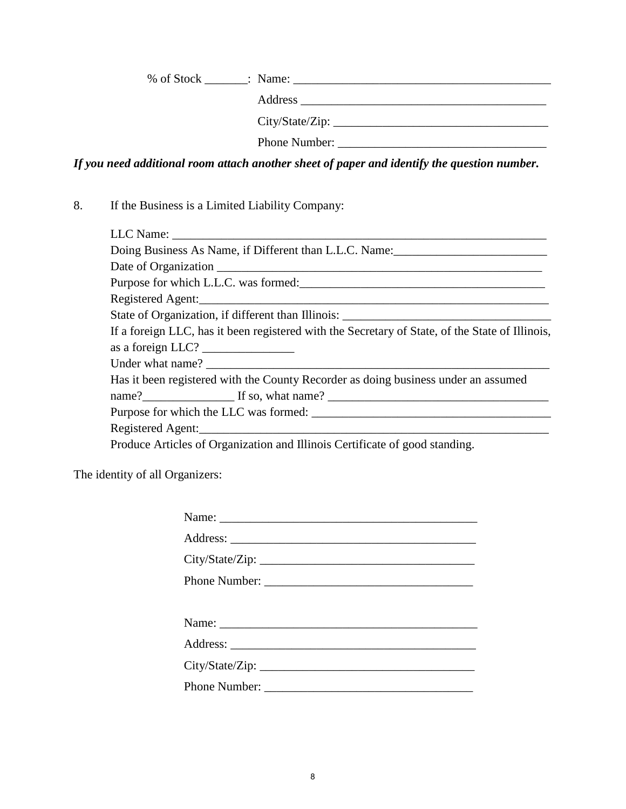% of Stock \_\_\_\_\_\_\_: Name: \_\_\_\_\_\_\_\_\_\_\_\_\_\_\_\_\_\_\_\_\_\_\_\_\_\_\_\_\_\_\_\_\_\_\_\_\_\_\_\_\_\_

| Address |  |
|---------|--|
|         |  |

City/State/Zip: \_\_\_\_\_\_\_\_\_\_\_\_\_\_\_\_\_\_\_\_\_\_\_\_\_\_\_\_\_\_\_\_\_\_\_

Phone Number: \_\_\_\_\_\_\_\_\_\_\_\_\_\_\_\_\_\_\_\_\_\_\_\_\_\_\_\_\_\_\_\_\_\_

*If you need additional room attach another sheet of paper and identify the question number.*

8. If the Business is a Limited Liability Company:

| Purpose for which L.L.C. was formed:                                                                                                                                                                                                                                                                                                                                                                                                    |
|-----------------------------------------------------------------------------------------------------------------------------------------------------------------------------------------------------------------------------------------------------------------------------------------------------------------------------------------------------------------------------------------------------------------------------------------|
|                                                                                                                                                                                                                                                                                                                                                                                                                                         |
|                                                                                                                                                                                                                                                                                                                                                                                                                                         |
| If a foreign LLC, has it been registered with the Secretary of State, of the State of Illinois,                                                                                                                                                                                                                                                                                                                                         |
| as a foreign LLC? $\frac{1}{\sqrt{1-\frac{1}{2}} \cdot \frac{1}{\sqrt{1-\frac{1}{2}} \cdot \frac{1}{\sqrt{1-\frac{1}{2}} \cdot \frac{1}{\sqrt{1-\frac{1}{2}} \cdot \frac{1}{\sqrt{1-\frac{1}{2}} \cdot \frac{1}{\sqrt{1-\frac{1}{2}} \cdot \frac{1}{\sqrt{1-\frac{1}{2}} \cdot \frac{1}{\sqrt{1-\frac{1}{2}} \cdot \frac{1}{\sqrt{1-\frac{1}{2}} \cdot \frac{1}{\sqrt{1-\frac{1}{2}} \cdot \frac{1}{\sqrt{1-\frac{1}{2}} \cdot \frac{1$ |
|                                                                                                                                                                                                                                                                                                                                                                                                                                         |
| Has it been registered with the County Recorder as doing business under an assumed                                                                                                                                                                                                                                                                                                                                                      |
| name? If so, what name?                                                                                                                                                                                                                                                                                                                                                                                                                 |
|                                                                                                                                                                                                                                                                                                                                                                                                                                         |
|                                                                                                                                                                                                                                                                                                                                                                                                                                         |
| Produce Articles of Organization and Illinois Certificate of good standing.                                                                                                                                                                                                                                                                                                                                                             |
|                                                                                                                                                                                                                                                                                                                                                                                                                                         |

The identity of all Organizers:

| Name:         |
|---------------|
|               |
|               |
| Phone Number: |
|               |
|               |
|               |
|               |
|               |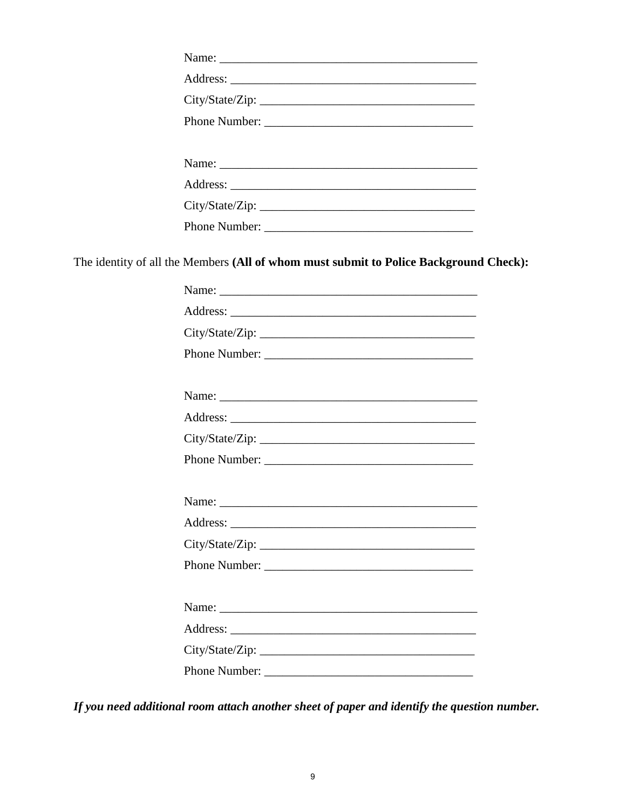| Phone Number: |  |
|---------------|--|
|               |  |

The identity of all the Members (All of whom must submit to Police Background Check):

| City/State/Zip: |
|-----------------|
| Phone Number:   |
|                 |
|                 |
|                 |
| City/State/Zip: |
| Phone Number:   |
|                 |
|                 |
|                 |
| City/State/Zip: |
| Phone Number:   |
|                 |
|                 |
|                 |
| City/State/Zip: |
|                 |

If you need additional room attach another sheet of paper and identify the question number.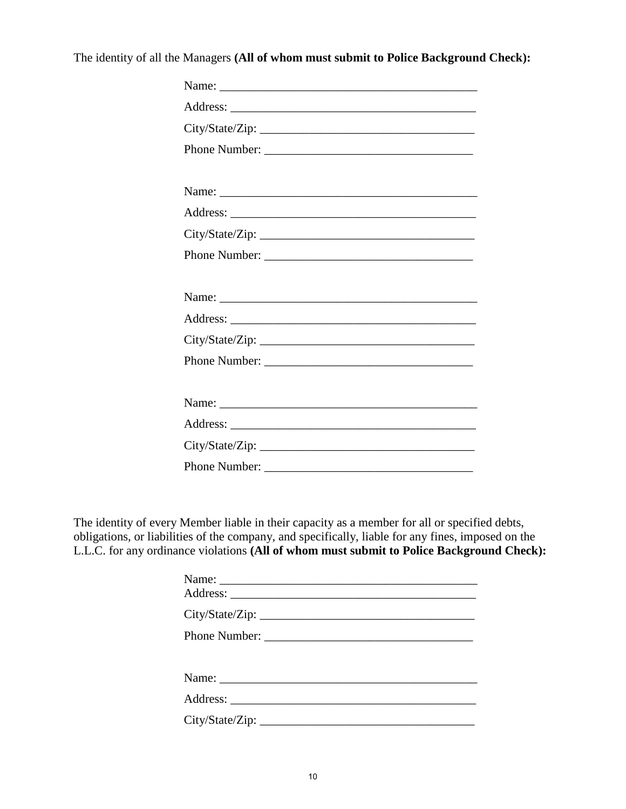The identity of all the Managers **(All of whom must submit to Police Background Check):**

| City/State/Zip: |
|-----------------|
| Phone Number:   |
|                 |
|                 |
|                 |
| City/State/Zip: |
| Phone Number:   |
|                 |
|                 |
|                 |
| City/State/Zip: |
| Phone Number:   |
|                 |
|                 |
|                 |
|                 |
|                 |

The identity of every Member liable in their capacity as a member for all or specified debts, obligations, or liabilities of the company, and specifically, liable for any fines, imposed on the L.L.C. for any ordinance violations **(All of whom must submit to Police Background Check):**

| Name: |
|-------|
|       |
|       |
|       |
|       |
|       |
|       |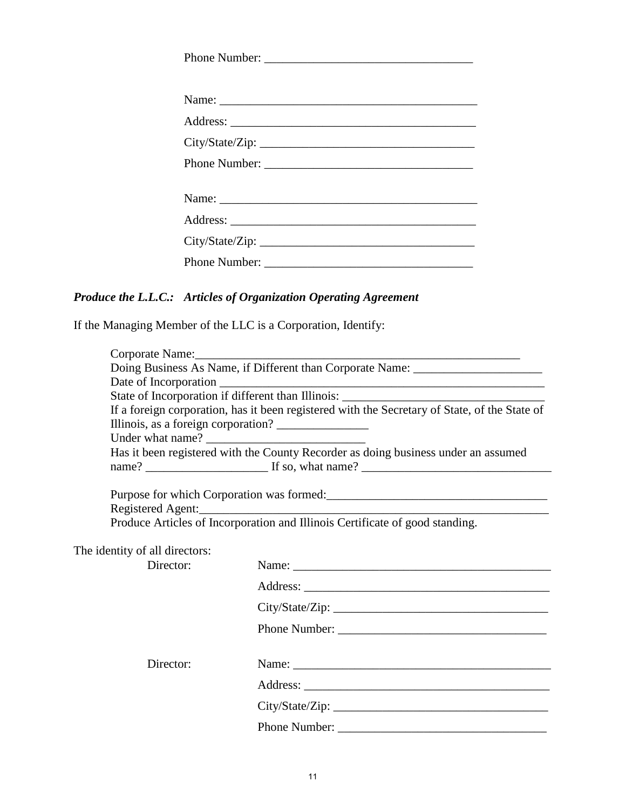| Phone Number:   |
|-----------------|
|                 |
| Name:           |
|                 |
| City/State/Zip: |
|                 |
|                 |
|                 |
|                 |
| City/State/Zip: |
|                 |

## *Produce the L.L.C.: Articles of Organization Operating Agreement*

If the Managing Member of the LLC is a Corporation, Identify:

|                                | Corporate Name: Name:                                                                             |
|--------------------------------|---------------------------------------------------------------------------------------------------|
|                                | Doing Business As Name, if Different than Corporate Name: ______________________                  |
|                                |                                                                                                   |
|                                |                                                                                                   |
|                                | If a foreign corporation, has it been registered with the Secretary of State, of the State of     |
|                                | Has it been registered with the County Recorder as doing business under an assumed                |
|                                |                                                                                                   |
|                                |                                                                                                   |
|                                | Purpose for which Corporation was formed:                                                         |
|                                |                                                                                                   |
|                                | Registered Agent:<br>Produce Articles of Incorporation and Illinois Certificate of good standing. |
|                                |                                                                                                   |
| The identity of all directors: |                                                                                                   |
| Director:                      |                                                                                                   |
|                                |                                                                                                   |
|                                |                                                                                                   |
|                                |                                                                                                   |
|                                |                                                                                                   |
| Director:                      | Name:                                                                                             |
|                                |                                                                                                   |
|                                |                                                                                                   |
|                                |                                                                                                   |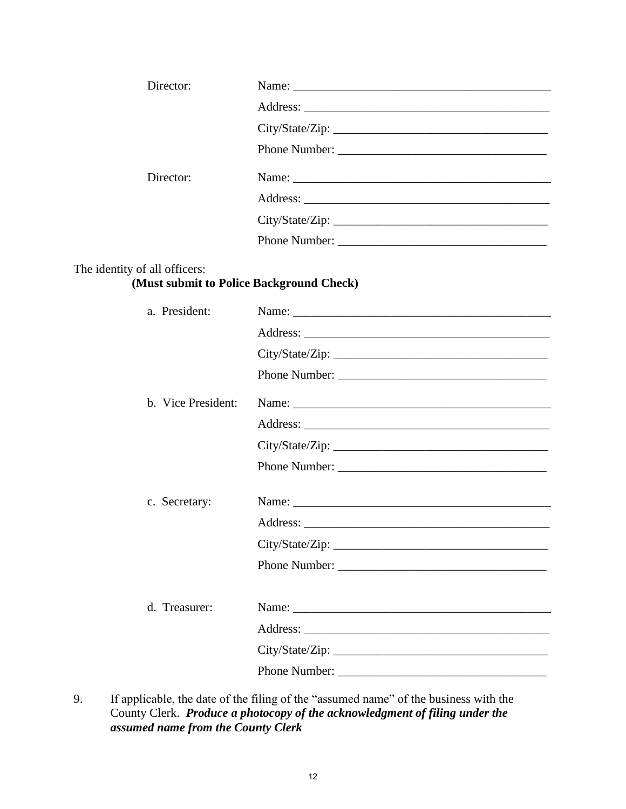| Director: |  |
|-----------|--|
|           |  |
|           |  |
|           |  |
| Director: |  |
|           |  |
|           |  |
|           |  |
|           |  |

### The identity of all officers:

# **(Must submit to Police Background Check)**

| a. President:      |                 |
|--------------------|-----------------|
|                    |                 |
|                    |                 |
|                    | Phone Number:   |
| b. Vice President: |                 |
|                    |                 |
|                    | City/State/Zip: |
|                    | Phone Number:   |
|                    |                 |
| c. Secretary:      |                 |
|                    |                 |
|                    | City/State/Zip: |
|                    | Phone Number:   |
|                    |                 |
| d. Treasurer:      |                 |
|                    |                 |
|                    |                 |
|                    | Phone Number:   |

9. If applicable, the date of the filing of the "assumed name" of the business with the County Clerk. *Produce a photocopy of the acknowledgment of filing under the assumed name from the County Clerk*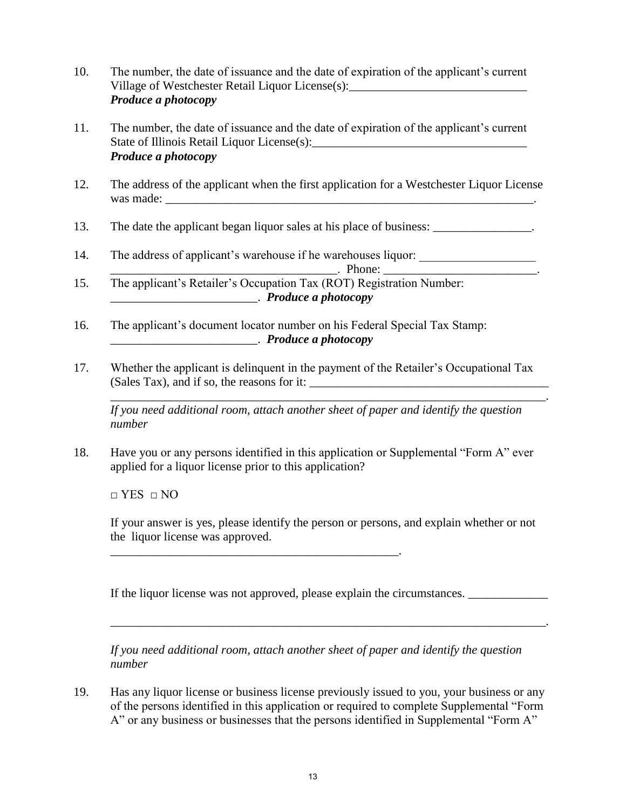- 10. The number, the date of issuance and the date of expiration of the applicant's current Village of Westchester Retail Liquor License $(s)$ : *Produce a photocopy*
- 11. The number, the date of issuance and the date of expiration of the applicant's current State of Illinois Retail Liquor License(s): *Produce a photocopy*
- 12. The address of the applicant when the first application for a Westchester Liquor License was made:
- 13. The date the applicant began liquor sales at his place of business:
- 14. The address of applicant's warehouse if he warehouses liquor:

 $\blacksquare$  . Phone:

- 15. The applicant's Retailer's Occupation Tax (ROT) Registration Number: \_\_\_\_\_\_\_\_\_\_\_\_\_\_\_\_\_\_\_\_\_\_\_\_. *Produce a photocopy*
- 16. The applicant's document locator number on his Federal Special Tax Stamp: \_\_\_\_\_\_\_\_\_\_\_\_\_\_\_\_\_\_\_\_\_\_\_\_. *Produce a photocopy*
- 17. Whether the applicant is delinquent in the payment of the Retailer's Occupational Tax  $(Sales Tax)$ , and if so, the reasons for it:  $\frac{1}{1-\frac{1}{1-\frac{1}{1-\frac{1}{1-\frac{1}{1-\frac{1}{1-\frac{1}{1-\frac{1}{1-\frac{1}{1-\frac{1}{1-\frac{1}{1-\frac{1}{1-\frac{1}{1-\frac{1}{1-\frac{1}{1-\frac{1}{1-\frac{1}{1-\frac{1}{1-\frac{1}{1-\frac{1}{1-\frac{1}{1-\frac{1}{1-\frac{1}{1-\frac{1}{1-\frac{1}{1-\frac{1}{1-\frac{1}{1-\frac{1}{1-\frac{1}{1-\frac{1}{1-\$

*If you need additional room, attach another sheet of paper and identify the question number*

\_\_\_\_\_\_\_\_\_\_\_\_\_\_\_\_\_\_\_\_\_\_\_\_\_\_\_\_\_\_\_\_\_\_\_\_\_\_\_\_\_\_\_\_\_\_\_\_\_\_\_\_\_\_\_\_\_\_\_\_\_\_\_\_\_\_\_\_\_\_\_.

18. Have you or any persons identified in this application or Supplemental "Form A" ever applied for a liquor license prior to this application?

□ YES □ NO

If your answer is yes, please identify the person or persons, and explain whether or not the liquor license was approved.

If the liquor license was not approved, please explain the circumstances.

\_\_\_\_\_\_\_\_\_\_\_\_\_\_\_\_\_\_\_\_\_\_\_\_\_\_\_\_\_\_\_\_\_\_\_\_\_\_\_\_\_\_\_\_\_\_\_.

*If you need additional room, attach another sheet of paper and identify the question number*

\_\_\_\_\_\_\_\_\_\_\_\_\_\_\_\_\_\_\_\_\_\_\_\_\_\_\_\_\_\_\_\_\_\_\_\_\_\_\_\_\_\_\_\_\_\_\_\_\_\_\_\_\_\_\_\_\_\_\_\_\_\_\_\_\_\_\_\_\_\_\_.

19. Has any liquor license or business license previously issued to you, your business or any of the persons identified in this application or required to complete Supplemental "Form A" or any business or businesses that the persons identified in Supplemental "Form A"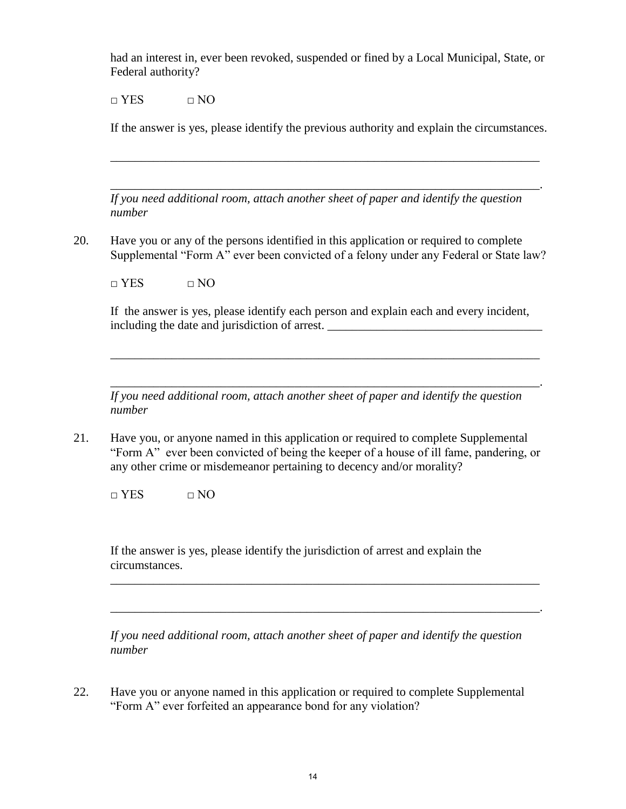had an interest in, ever been revoked, suspended or fined by a Local Municipal, State, or Federal authority?

 $\Box$  YES  $\Box$  NO

If the answer is yes, please identify the previous authority and explain the circumstances.

*If you need additional room, attach another sheet of paper and identify the question number*

\_\_\_\_\_\_\_\_\_\_\_\_\_\_\_\_\_\_\_\_\_\_\_\_\_\_\_\_\_\_\_\_\_\_\_\_\_\_\_\_\_\_\_\_\_\_\_\_\_\_\_\_\_\_\_\_\_\_\_\_\_\_\_\_\_\_\_\_\_\_

\_\_\_\_\_\_\_\_\_\_\_\_\_\_\_\_\_\_\_\_\_\_\_\_\_\_\_\_\_\_\_\_\_\_\_\_\_\_\_\_\_\_\_\_\_\_\_\_\_\_\_\_\_\_\_\_\_\_\_\_\_\_\_\_\_\_\_\_\_\_.

20. Have you or any of the persons identified in this application or required to complete Supplemental "Form A" ever been convicted of a felony under any Federal or State law?

 $\Box$  YES  $\Box$  NO

If the answer is yes, please identify each person and explain each and every incident, including the date and jurisdiction of arrest.

\_\_\_\_\_\_\_\_\_\_\_\_\_\_\_\_\_\_\_\_\_\_\_\_\_\_\_\_\_\_\_\_\_\_\_\_\_\_\_\_\_\_\_\_\_\_\_\_\_\_\_\_\_\_\_\_\_\_\_\_\_\_\_\_\_\_\_\_\_\_. *If you need additional room, attach another sheet of paper and identify the question number*

 $\overline{\phantom{a}}$  ,  $\overline{\phantom{a}}$  ,  $\overline{\phantom{a}}$  ,  $\overline{\phantom{a}}$  ,  $\overline{\phantom{a}}$  ,  $\overline{\phantom{a}}$  ,  $\overline{\phantom{a}}$  ,  $\overline{\phantom{a}}$  ,  $\overline{\phantom{a}}$  ,  $\overline{\phantom{a}}$  ,  $\overline{\phantom{a}}$  ,  $\overline{\phantom{a}}$  ,  $\overline{\phantom{a}}$  ,  $\overline{\phantom{a}}$  ,  $\overline{\phantom{a}}$  ,  $\overline{\phantom{a}}$ 

21. Have you, or anyone named in this application or required to complete Supplemental "Form A" ever been convicted of being the keeper of a house of ill fame, pandering, or any other crime or misdemeanor pertaining to decency and/or morality?

 $\Box$  YES  $\Box$  NO

If the answer is yes, please identify the jurisdiction of arrest and explain the circumstances.

*If you need additional room, attach another sheet of paper and identify the question number*

\_\_\_\_\_\_\_\_\_\_\_\_\_\_\_\_\_\_\_\_\_\_\_\_\_\_\_\_\_\_\_\_\_\_\_\_\_\_\_\_\_\_\_\_\_\_\_\_\_\_\_\_\_\_\_\_\_\_\_\_\_\_\_\_\_\_\_\_\_\_.

\_\_\_\_\_\_\_\_\_\_\_\_\_\_\_\_\_\_\_\_\_\_\_\_\_\_\_\_\_\_\_\_\_\_\_\_\_\_\_\_\_\_\_\_\_\_\_\_\_\_\_\_\_\_\_\_\_\_\_\_\_\_\_\_\_\_\_\_\_\_

22. Have you or anyone named in this application or required to complete Supplemental "Form A" ever forfeited an appearance bond for any violation?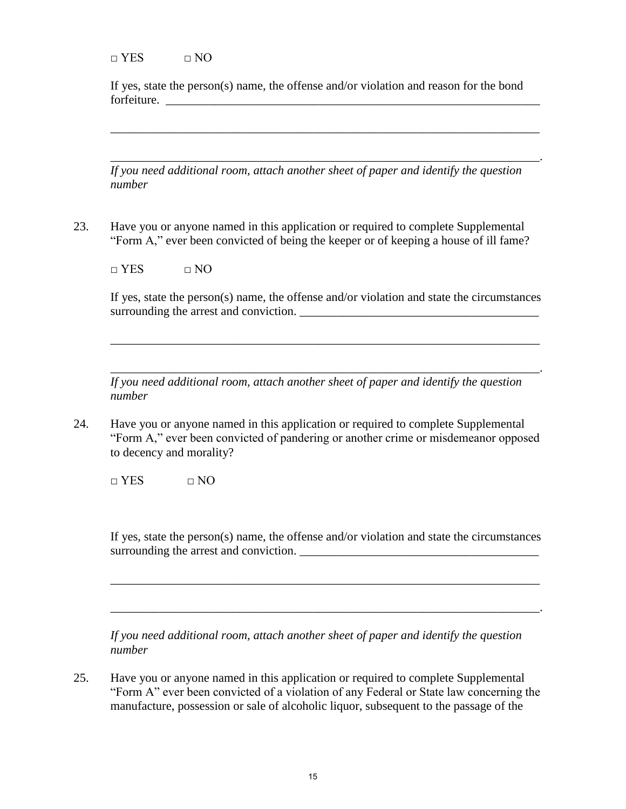$\neg$  YES  $\neg$  NO

If yes, state the person(s) name, the offense and/or violation and reason for the bond forfeiture. \_\_\_\_\_\_\_\_\_\_\_\_\_\_\_\_\_\_\_\_\_\_\_\_\_\_\_\_\_\_\_\_\_\_\_\_\_\_\_\_\_\_\_\_\_\_\_\_\_\_\_\_\_\_\_\_\_\_\_\_\_

 $\overline{\phantom{a}}$  ,  $\overline{\phantom{a}}$  ,  $\overline{\phantom{a}}$  ,  $\overline{\phantom{a}}$  ,  $\overline{\phantom{a}}$  ,  $\overline{\phantom{a}}$  ,  $\overline{\phantom{a}}$  ,  $\overline{\phantom{a}}$  ,  $\overline{\phantom{a}}$  ,  $\overline{\phantom{a}}$  ,  $\overline{\phantom{a}}$  ,  $\overline{\phantom{a}}$  ,  $\overline{\phantom{a}}$  ,  $\overline{\phantom{a}}$  ,  $\overline{\phantom{a}}$  ,  $\overline{\phantom{a}}$ 

\_\_\_\_\_\_\_\_\_\_\_\_\_\_\_\_\_\_\_\_\_\_\_\_\_\_\_\_\_\_\_\_\_\_\_\_\_\_\_\_\_\_\_\_\_\_\_\_\_\_\_\_\_\_\_\_\_\_\_\_\_\_\_\_\_\_\_\_\_\_.

*If you need additional room, attach another sheet of paper and identify the question number* 

23. Have you or anyone named in this application or required to complete Supplemental "Form A," ever been convicted of being the keeper or of keeping a house of ill fame?

 $\Box$  YES  $\Box$  NO

If yes, state the person(s) name, the offense and/or violation and state the circumstances surrounding the arrest and conviction.

\_\_\_\_\_\_\_\_\_\_\_\_\_\_\_\_\_\_\_\_\_\_\_\_\_\_\_\_\_\_\_\_\_\_\_\_\_\_\_\_\_\_\_\_\_\_\_\_\_\_\_\_\_\_\_\_\_\_\_\_\_\_\_\_\_\_\_\_\_\_.

*If you need additional room, attach another sheet of paper and identify the question number*

\_\_\_\_\_\_\_\_\_\_\_\_\_\_\_\_\_\_\_\_\_\_\_\_\_\_\_\_\_\_\_\_\_\_\_\_\_\_\_\_\_\_\_\_\_\_\_\_\_\_\_\_\_\_\_\_\_\_\_\_\_\_\_\_\_\_\_\_\_\_

24. Have you or anyone named in this application or required to complete Supplemental "Form A," ever been convicted of pandering or another crime or misdemeanor opposed to decency and morality?

 $\Box$  YES  $\Box$  NO

If yes, state the person(s) name, the offense and/or violation and state the circumstances surrounding the arrest and conviction.

*If you need additional room, attach another sheet of paper and identify the question number* 

\_\_\_\_\_\_\_\_\_\_\_\_\_\_\_\_\_\_\_\_\_\_\_\_\_\_\_\_\_\_\_\_\_\_\_\_\_\_\_\_\_\_\_\_\_\_\_\_\_\_\_\_\_\_\_\_\_\_\_\_\_\_\_\_\_\_\_\_\_\_

25. Have you or anyone named in this application or required to complete Supplemental "Form A" ever been convicted of a violation of any Federal or State law concerning the manufacture, possession or sale of alcoholic liquor, subsequent to the passage of the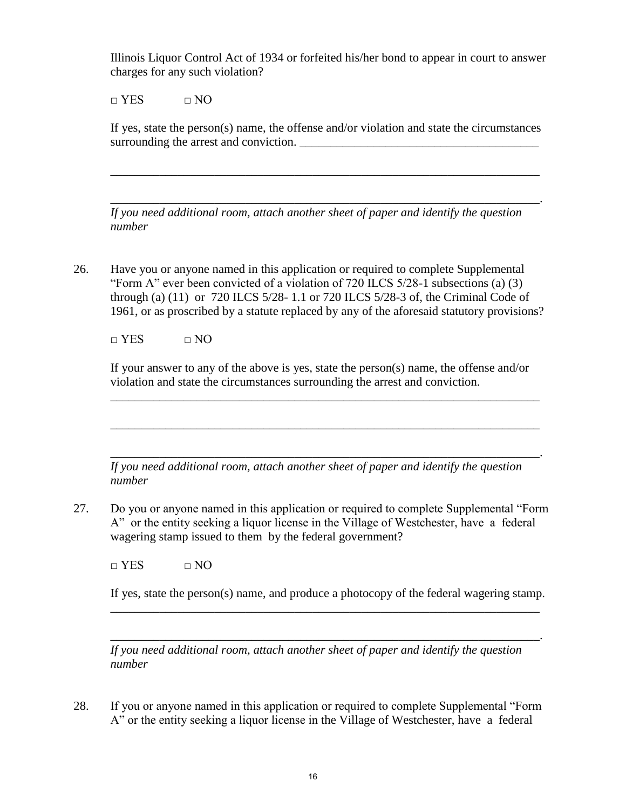Illinois Liquor Control Act of 1934 or forfeited his/her bond to appear in court to answer charges for any such violation?

 $\Box$  YES  $\Box$  NO

If yes, state the person(s) name, the offense and/or violation and state the circumstances surrounding the arrest and conviction.

\_\_\_\_\_\_\_\_\_\_\_\_\_\_\_\_\_\_\_\_\_\_\_\_\_\_\_\_\_\_\_\_\_\_\_\_\_\_\_\_\_\_\_\_\_\_\_\_\_\_\_\_\_\_\_\_\_\_\_\_\_\_\_\_\_\_\_\_\_\_.

*If you need additional room, attach another sheet of paper and identify the question number* 

\_\_\_\_\_\_\_\_\_\_\_\_\_\_\_\_\_\_\_\_\_\_\_\_\_\_\_\_\_\_\_\_\_\_\_\_\_\_\_\_\_\_\_\_\_\_\_\_\_\_\_\_\_\_\_\_\_\_\_\_\_\_\_\_\_\_\_\_\_\_

26. Have you or anyone named in this application or required to complete Supplemental "Form A" ever been convicted of a violation of 720 ILCS 5/28-1 subsections (a) (3) through (a) (11) or 720 ILCS 5/28- 1.1 or 720 ILCS 5/28-3 of, the Criminal Code of 1961, or as proscribed by a statute replaced by any of the aforesaid statutory provisions?

 $\neg$  YES  $\neg$  NO

If your answer to any of the above is yes, state the person(s) name, the offense and/or violation and state the circumstances surrounding the arrest and conviction.

\_\_\_\_\_\_\_\_\_\_\_\_\_\_\_\_\_\_\_\_\_\_\_\_\_\_\_\_\_\_\_\_\_\_\_\_\_\_\_\_\_\_\_\_\_\_\_\_\_\_\_\_\_\_\_\_\_\_\_\_\_\_\_\_\_\_\_\_\_\_

 \_\_\_\_\_\_\_\_\_\_\_\_\_\_\_\_\_\_\_\_\_\_\_\_\_\_\_\_\_\_\_\_\_\_\_\_\_\_\_\_\_\_\_\_\_\_\_\_\_\_\_\_\_\_\_\_\_\_\_\_\_\_\_\_\_\_\_\_\_\_. *If you need additional room, attach another sheet of paper and identify the question number*

 $\overline{\phantom{a}}$  ,  $\overline{\phantom{a}}$  ,  $\overline{\phantom{a}}$  ,  $\overline{\phantom{a}}$  ,  $\overline{\phantom{a}}$  ,  $\overline{\phantom{a}}$  ,  $\overline{\phantom{a}}$  ,  $\overline{\phantom{a}}$  ,  $\overline{\phantom{a}}$  ,  $\overline{\phantom{a}}$  ,  $\overline{\phantom{a}}$  ,  $\overline{\phantom{a}}$  ,  $\overline{\phantom{a}}$  ,  $\overline{\phantom{a}}$  ,  $\overline{\phantom{a}}$  ,  $\overline{\phantom{a}}$ 

27. Do you or anyone named in this application or required to complete Supplemental "Form A" or the entity seeking a liquor license in the Village of Westchester, have a federal wagering stamp issued to them by the federal government?

 $\Box$  YES  $\Box$  NO

If yes, state the person(s) name, and produce a photocopy of the federal wagering stamp.

 \_\_\_\_\_\_\_\_\_\_\_\_\_\_\_\_\_\_\_\_\_\_\_\_\_\_\_\_\_\_\_\_\_\_\_\_\_\_\_\_\_\_\_\_\_\_\_\_\_\_\_\_\_\_\_\_\_\_\_\_\_\_\_\_\_\_\_\_\_\_. *If you need additional room, attach another sheet of paper and identify the question number*

\_\_\_\_\_\_\_\_\_\_\_\_\_\_\_\_\_\_\_\_\_\_\_\_\_\_\_\_\_\_\_\_\_\_\_\_\_\_\_\_\_\_\_\_\_\_\_\_\_\_\_\_\_\_\_\_\_\_\_\_\_\_\_\_\_\_\_\_\_\_

28. If you or anyone named in this application or required to complete Supplemental "Form A" or the entity seeking a liquor license in the Village of Westchester, have a federal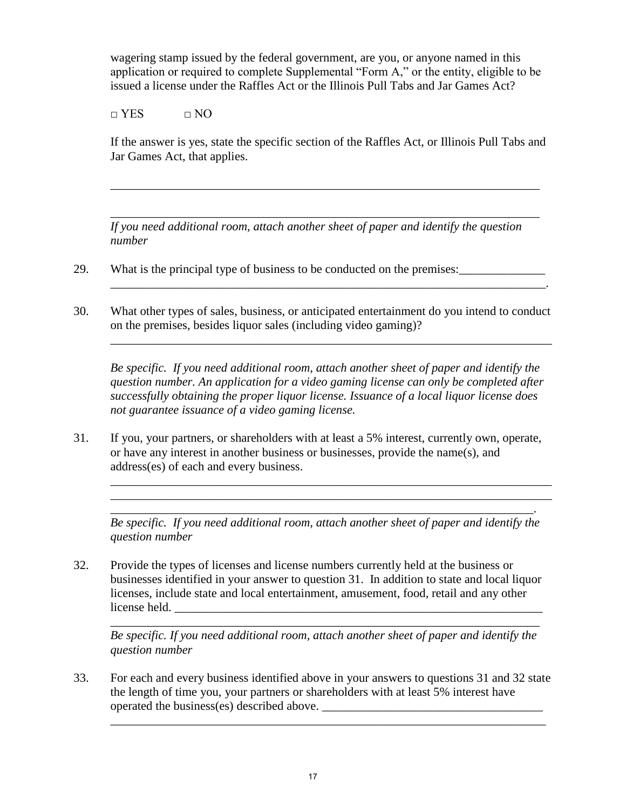wagering stamp issued by the federal government, are you, or anyone named in this application or required to complete Supplemental "Form A," or the entity, eligible to be issued a license under the Raffles Act or the Illinois Pull Tabs and Jar Games Act?

 $\Box$  YES  $\Box$  NO

If the answer is yes, state the specific section of the Raffles Act, or Illinois Pull Tabs and Jar Games Act, that applies.

\_\_\_\_\_\_\_\_\_\_\_\_\_\_\_\_\_\_\_\_\_\_\_\_\_\_\_\_\_\_\_\_\_\_\_\_\_\_\_\_\_\_\_\_\_\_\_\_\_\_\_\_\_\_\_\_\_\_\_\_\_\_\_\_\_\_\_\_\_\_

\_\_\_\_\_\_\_\_\_\_\_\_\_\_\_\_\_\_\_\_\_\_\_\_\_\_\_\_\_\_\_\_\_\_\_\_\_\_\_\_\_\_\_\_\_\_\_\_\_\_\_\_\_\_\_\_\_\_\_\_\_\_\_\_\_\_\_\_\_\_

*If you need additional room, attach another sheet of paper and identify the question number* 

- 29. What is the principal type of business to be conducted on the premises:
- 30. What other types of sales, business, or anticipated entertainment do you intend to conduct on the premises, besides liquor sales (including video gaming)?

*Be specific. If you need additional room, attach another sheet of paper and identify the question number. An application for a video gaming license can only be completed after successfully obtaining the proper liquor license. Issuance of a local liquor license does not guarantee issuance of a video gaming license.* 

*\_\_\_\_\_\_\_\_\_\_\_\_\_\_\_\_\_\_\_\_\_\_\_*\_\_\_\_\_\_\_\_\_\_\_\_\_\_\_\_\_\_\_\_\_\_\_\_\_\_\_\_\_\_\_\_\_\_\_\_\_\_\_\_\_\_\_\_\_\_\_\_\_

31. If you, your partners, or shareholders with at least a 5% interest, currently own, operate, or have any interest in another business or businesses, provide the name(s), and address(es) of each and every business.

*Be specific. If you need additional room, attach another sheet of paper and identify the question number* 

*\_\_\_\_\_\_\_\_\_\_\_\_\_*\_\_\_\_\_\_\_\_\_\_\_\_\_\_\_\_\_\_\_\_\_\_\_\_\_\_\_\_\_\_\_\_\_\_\_\_\_\_\_\_\_\_\_\_\_\_\_\_\_\_\_\_\_\_\_\_\_\_\_ \_\_\_\_\_\_\_\_\_\_\_\_\_\_\_\_\_\_\_\_\_\_\_\_\_\_\_\_\_\_\_\_\_\_\_\_\_\_\_\_\_\_\_\_\_\_\_\_\_\_\_\_\_\_\_\_\_\_\_\_\_\_\_\_\_\_\_\_\_\_\_\_ \_\_\_\_\_\_\_\_\_\_\_\_\_\_\_\_\_\_\_\_\_\_\_\_\_\_\_\_\_\_\_\_\_\_\_\_\_\_\_\_\_\_\_\_\_\_\_\_\_\_\_\_\_\_\_\_\_\_\_\_\_\_\_\_\_\_\_\_\_.

32. Provide the types of licenses and license numbers currently held at the business or businesses identified in your answer to question 31. In addition to state and local liquor licenses, include state and local entertainment, amusement, food, retail and any other license held.

\_\_\_\_\_\_\_\_\_\_\_\_\_\_\_\_\_\_\_\_\_\_\_\_\_\_\_\_\_\_\_\_\_\_\_\_\_\_\_\_\_\_\_\_\_\_\_\_\_\_\_\_\_\_\_\_\_\_\_\_\_\_\_\_\_\_\_\_\_\_

*Be specific. If you need additional room, attach another sheet of paper and identify the question number* 

33. For each and every business identified above in your answers to questions 31 and 32 state the length of time you, your partners or shareholders with at least 5% interest have operated the business(es) described above. \_\_\_\_\_\_\_\_\_\_\_\_\_\_\_\_\_\_\_\_\_\_\_\_\_\_\_\_\_\_\_\_\_\_\_\_

 $\overline{\phantom{a}}$  , and the contribution of the contribution of the contribution of the contribution of the contribution of the contribution of the contribution of the contribution of the contribution of the contribution of the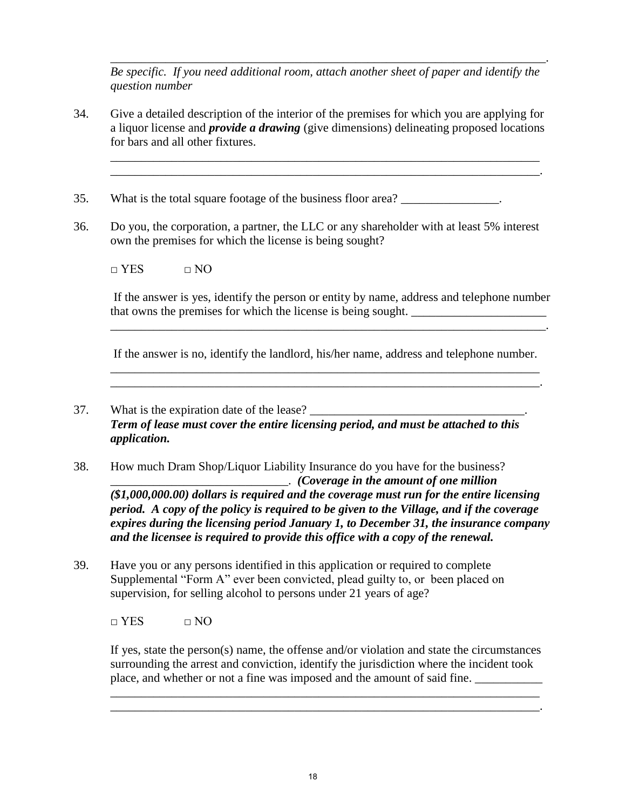*Be specific. If you need additional room, attach another sheet of paper and identify the question number* 

\_\_\_\_\_\_\_\_\_\_\_\_\_\_\_\_\_\_\_\_\_\_\_\_\_\_\_\_\_\_\_\_\_\_\_\_\_\_\_\_\_\_\_\_\_\_\_\_\_\_\_\_\_\_\_\_\_\_\_\_\_\_\_\_\_\_\_\_\_\_

34. Give a detailed description of the interior of the premises for which you are applying for a liquor license and *provide a drawing* (give dimensions) delineating proposed locations for bars and all other fixtures.

\_\_\_\_\_\_\_\_\_\_\_\_\_\_\_\_\_\_\_\_\_\_\_\_\_\_\_\_\_\_\_\_\_\_\_\_\_\_\_\_\_\_\_\_\_\_\_\_\_\_\_\_\_\_\_\_\_\_\_\_\_\_\_\_\_\_\_\_\_\_.

\_\_\_\_\_\_\_\_\_\_\_\_\_\_\_\_\_\_\_\_\_\_\_\_\_\_\_\_\_\_\_\_\_\_\_\_\_\_\_\_\_\_\_\_\_\_\_\_\_\_\_\_\_\_\_\_\_\_\_\_\_\_\_\_\_\_\_\_\_\_\_.

- 35. What is the total square footage of the business floor area?
- 36. Do you, the corporation, a partner, the LLC or any shareholder with at least 5% interest own the premises for which the license is being sought?

 $\neg$  YES  $\neg$  NO

 If the answer is yes, identify the person or entity by name, address and telephone number that owns the premises for which the license is being sought.

 If the answer is no, identify the landlord, his/her name, address and telephone number. \_\_\_\_\_\_\_\_\_\_\_\_\_\_\_\_\_\_\_\_\_\_\_\_\_\_\_\_\_\_\_\_\_\_\_\_\_\_\_\_\_\_\_\_\_\_\_\_\_\_\_\_\_\_\_\_\_\_\_\_\_\_\_\_\_\_\_\_\_\_

\_\_\_\_\_\_\_\_\_\_\_\_\_\_\_\_\_\_\_\_\_\_\_\_\_\_\_\_\_\_\_\_\_\_\_\_\_\_\_\_\_\_\_\_\_\_\_\_\_\_\_\_\_\_\_\_\_\_\_\_\_\_\_\_\_\_\_\_\_\_\_.

\_\_\_\_\_\_\_\_\_\_\_\_\_\_\_\_\_\_\_\_\_\_\_\_\_\_\_\_\_\_\_\_\_\_\_\_\_\_\_\_\_\_\_\_\_\_\_\_\_\_\_\_\_\_\_\_\_\_\_\_\_\_\_\_\_\_\_\_\_\_.

- 37. What is the expiration date of the lease? *Term of lease must cover the entire licensing period, and must be attached to this application.*
- 38. How much Dram Shop/Liquor Liability Insurance do you have for the business? \_\_\_\_\_\_\_\_\_\_\_\_\_\_\_\_\_\_\_\_\_\_\_\_\_\_\_\_\_. *(Coverage in the amount of one million (\$1,000,000.00) dollars is required and the coverage must run for the entire licensing period. A copy of the policy is required to be given to the Village, and if the coverage expires during the licensing period January 1, to December 31, the insurance company and the licensee is required to provide this office with a copy of the renewal.*
- 39. Have you or any persons identified in this application or required to complete Supplemental "Form A" ever been convicted, plead guilty to, or been placed on supervision, for selling alcohol to persons under 21 years of age?

 $\Box$  YES  $\Box$  NO

If yes, state the person(s) name, the offense and/or violation and state the circumstances surrounding the arrest and conviction, identify the jurisdiction where the incident took place, and whether or not a fine was imposed and the amount of said fine.

\_\_\_\_\_\_\_\_\_\_\_\_\_\_\_\_\_\_\_\_\_\_\_\_\_\_\_\_\_\_\_\_\_\_\_\_\_\_\_\_\_\_\_\_\_\_\_\_\_\_\_\_\_\_\_\_\_\_\_\_\_\_\_\_\_\_\_\_\_\_

\_\_\_\_\_\_\_\_\_\_\_\_\_\_\_\_\_\_\_\_\_\_\_\_\_\_\_\_\_\_\_\_\_\_\_\_\_\_\_\_\_\_\_\_\_\_\_\_\_\_\_\_\_\_\_\_\_\_\_\_\_\_\_\_\_\_\_\_\_\_.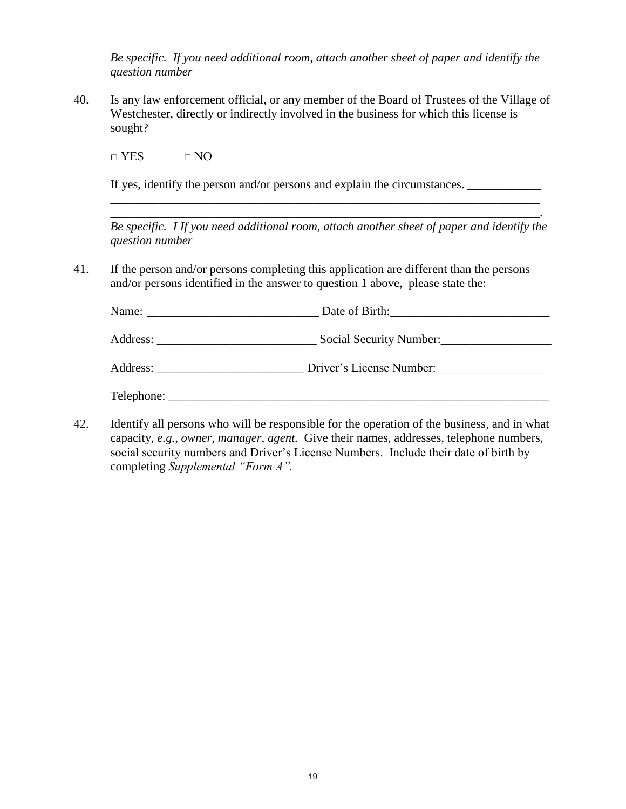*Be specific. If you need additional room, attach another sheet of paper and identify the question number*

40. Is any law enforcement official, or any member of the Board of Trustees of the Village of Westchester, directly or indirectly involved in the business for which this license is sought?

 $\Box$  YES  $\Box$  NO

 If yes, identify the person and/or persons and explain the circumstances. \_\_\_\_\_\_\_\_\_\_\_\_  $\overline{\phantom{a}}$  ,  $\overline{\phantom{a}}$  ,  $\overline{\phantom{a}}$  ,  $\overline{\phantom{a}}$  ,  $\overline{\phantom{a}}$  ,  $\overline{\phantom{a}}$  ,  $\overline{\phantom{a}}$  ,  $\overline{\phantom{a}}$  ,  $\overline{\phantom{a}}$  ,  $\overline{\phantom{a}}$  ,  $\overline{\phantom{a}}$  ,  $\overline{\phantom{a}}$  ,  $\overline{\phantom{a}}$  ,  $\overline{\phantom{a}}$  ,  $\overline{\phantom{a}}$  ,  $\overline{\phantom{a}}$ 

\_\_\_\_\_\_\_\_\_\_\_\_\_\_\_\_\_\_\_\_\_\_\_\_\_\_\_\_\_\_\_\_\_\_\_\_\_\_\_\_\_\_\_\_\_\_\_\_\_\_\_\_\_\_\_\_\_\_\_\_\_\_\_\_\_\_\_\_\_\_.

*Be specific. I If you need additional room, attach another sheet of paper and identify the question number* 

41. If the person and/or persons completing this application are different than the persons and/or persons identified in the answer to question 1 above, please state the:

|            | Date of Birth:           |  |
|------------|--------------------------|--|
|            | Social Security Number:  |  |
| Address:   | Driver's License Number: |  |
| Telephone: |                          |  |

42. Identify all persons who will be responsible for the operation of the business, and in what capacity, *e.g., owner, manager, agent.* Give their names, addresses, telephone numbers, social security numbers and Driver's License Numbers. Include their date of birth by completing *Supplemental "Form A".*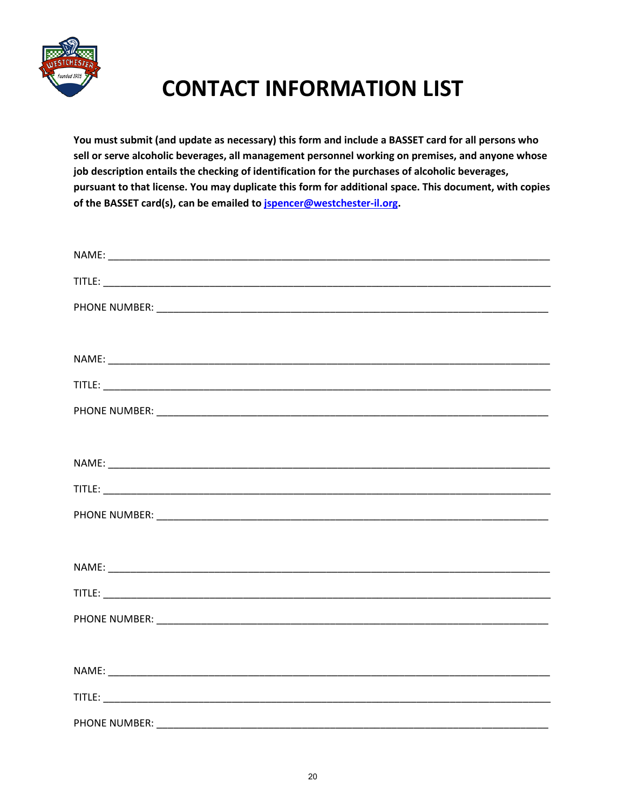

# **CONTACT INFORMATION LIST**

**You must submit (and update as necessary) this form and include a BASSET card for all persons who sell or serve alcoholic beverages, all management personnel working on premises, and anyone whose job description entails the checking of identification for the purchases of alcoholic beverages, pursuant to that license. You may duplicate this form for additional space. This document, with copies of the BASSET card(s), can be emailed t[o jspencer@westchester-il.org.](mailto:jspencer@westchester-il.org)**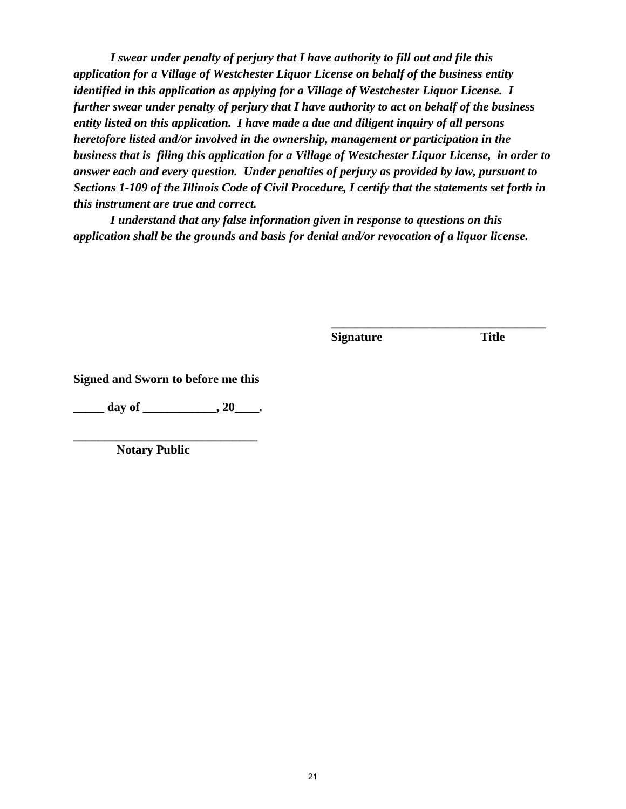*I swear under penalty of perjury that I have authority to fill out and file this application for a Village of Westchester Liquor License on behalf of the business entity identified in this application as applying for a Village of Westchester Liquor License. I further swear under penalty of perjury that I have authority to act on behalf of the business entity listed on this application. I have made a due and diligent inquiry of all persons heretofore listed and/or involved in the ownership, management or participation in the business that is filing this application for a Village of Westchester Liquor License, in order to answer each and every question. Under penalties of perjury as provided by law, pursuant to Sections 1-109 of the Illinois Code of Civil Procedure, I certify that the statements set forth in this instrument are true and correct.* 

 *I understand that any false information given in response to questions on this application shall be the grounds and basis for denial and/or revocation of a liquor license.* 

**Signature Title** 

**\_\_\_\_\_\_\_\_\_\_\_\_\_\_\_\_\_\_\_\_\_\_\_\_\_\_\_\_\_\_\_\_\_\_\_**

**Signed and Sworn to before me this** 

**\_\_\_\_\_ day of \_\_\_\_\_\_\_\_\_\_\_\_, 20\_\_\_\_.** 

**\_\_\_\_\_\_\_\_\_\_\_\_\_\_\_\_\_\_\_\_\_\_\_\_\_\_\_\_\_\_ Notary Public**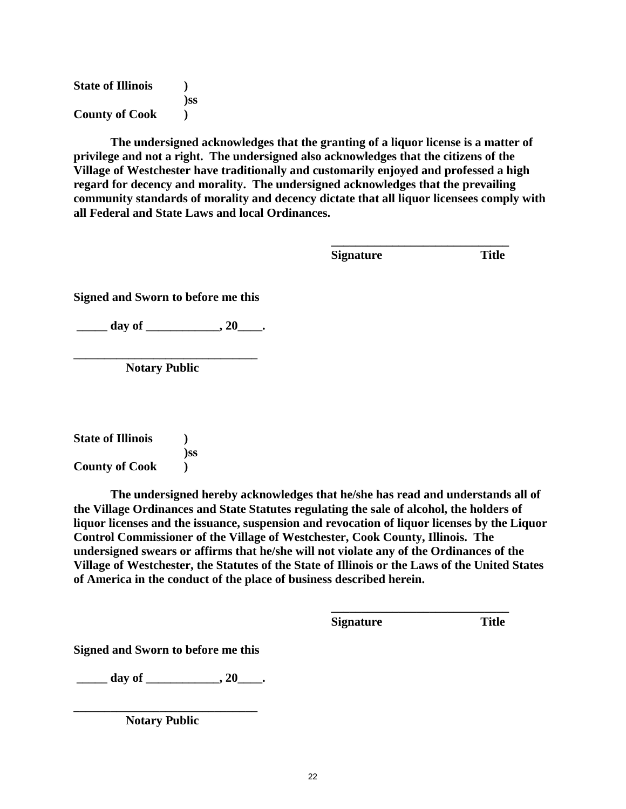**State of Illinois ) )ss County of Cook )** 

**The undersigned acknowledges that the granting of a liquor license is a matter of privilege and not a right. The undersigned also acknowledges that the citizens of the Village of Westchester have traditionally and customarily enjoyed and professed a high regard for decency and morality. The undersigned acknowledges that the prevailing community standards of morality and decency dictate that all liquor licensees comply with all Federal and State Laws and local Ordinances.** 

 $\frac{1}{2}$  ,  $\frac{1}{2}$  ,  $\frac{1}{2}$  ,  $\frac{1}{2}$  ,  $\frac{1}{2}$  ,  $\frac{1}{2}$  ,  $\frac{1}{2}$  ,  $\frac{1}{2}$  ,  $\frac{1}{2}$  ,  $\frac{1}{2}$  ,  $\frac{1}{2}$  ,  $\frac{1}{2}$  ,  $\frac{1}{2}$  ,  $\frac{1}{2}$  ,  $\frac{1}{2}$  ,  $\frac{1}{2}$  ,  $\frac{1}{2}$  ,  $\frac{1}{2}$  ,  $\frac{1$ **Signature** Title

**Signed and Sworn to before me this** 

day of  $\qquad \qquad , 20 \qquad .$ 

**\_\_\_\_\_\_\_\_\_\_\_\_\_\_\_\_\_\_\_\_\_\_\_\_\_\_\_\_\_\_ Notary Public**

**State of Illinois ) )ss County of Cook )** 

 **The undersigned hereby acknowledges that he/she has read and understands all of the Village Ordinances and State Statutes regulating the sale of alcohol, the holders of liquor licenses and the issuance, suspension and revocation of liquor licenses by the Liquor Control Commissioner of the Village of Westchester, Cook County, Illinois. The undersigned swears or affirms that he/she will not violate any of the Ordinances of the Village of Westchester, the Statutes of the State of Illinois or the Laws of the United States of America in the conduct of the place of business described herein.** 

 $\frac{1}{2}$  ,  $\frac{1}{2}$  ,  $\frac{1}{2}$  ,  $\frac{1}{2}$  ,  $\frac{1}{2}$  ,  $\frac{1}{2}$  ,  $\frac{1}{2}$  ,  $\frac{1}{2}$  ,  $\frac{1}{2}$  ,  $\frac{1}{2}$  ,  $\frac{1}{2}$  ,  $\frac{1}{2}$  ,  $\frac{1}{2}$  ,  $\frac{1}{2}$  ,  $\frac{1}{2}$  ,  $\frac{1}{2}$  ,  $\frac{1}{2}$  ,  $\frac{1}{2}$  ,  $\frac{1$ 

 **Signature Title** 

**Signed and Sworn to before me this** 

**\_\_\_\_\_ day of \_\_\_\_\_\_\_\_\_\_\_\_, 20\_\_\_\_.** 

**\_\_\_\_\_\_\_\_\_\_\_\_\_\_\_\_\_\_\_\_\_\_\_\_\_\_\_\_\_\_ Notary Public**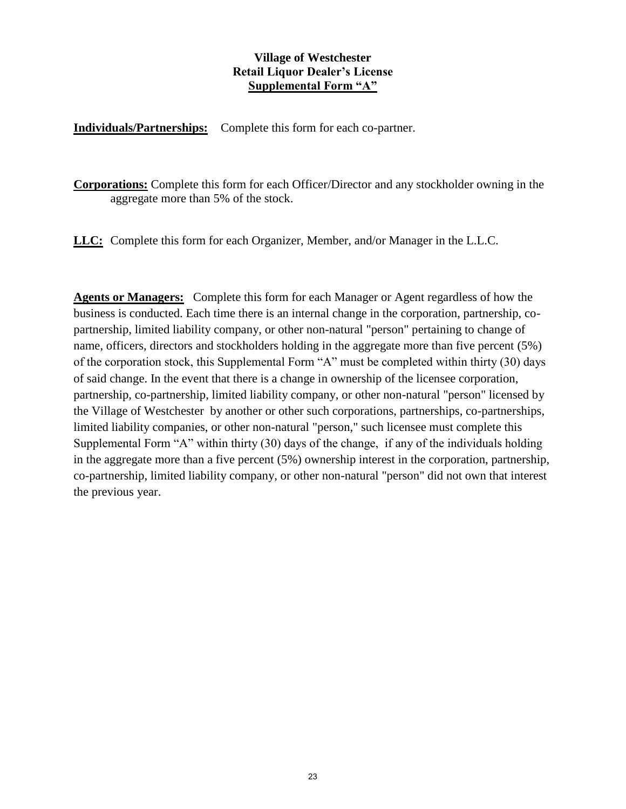#### **Village of Westchester Retail Liquor Dealer's License Supplemental Form "A"**

**Individuals/Partnerships:** Complete this form for each co-partner.

**Corporations:** Complete this form for each Officer/Director and any stockholder owning in the aggregate more than 5% of the stock.

**LLC:** Complete this form for each Organizer, Member, and/or Manager in the L.L.C.

**Agents or Managers:** Complete this form for each Manager or Agent regardless of how the business is conducted. Each time there is an internal change in the corporation, partnership, copartnership, limited liability company, or other non-natural "person" pertaining to change of name, officers, directors and stockholders holding in the aggregate more than five percent (5%) of the corporation stock, this Supplemental Form "A" must be completed within thirty (30) days of said change. In the event that there is a change in ownership of the licensee corporation, partnership, co-partnership, limited liability company, or other non-natural "person" licensed by the Village of Westchester by another or other such corporations, partnerships, co-partnerships, limited liability companies, or other non-natural "person," such licensee must complete this Supplemental Form "A" within thirty (30) days of the change, if any of the individuals holding in the aggregate more than a five percent (5%) ownership interest in the corporation, partnership, co-partnership, limited liability company, or other non-natural "person" did not own that interest the previous year.